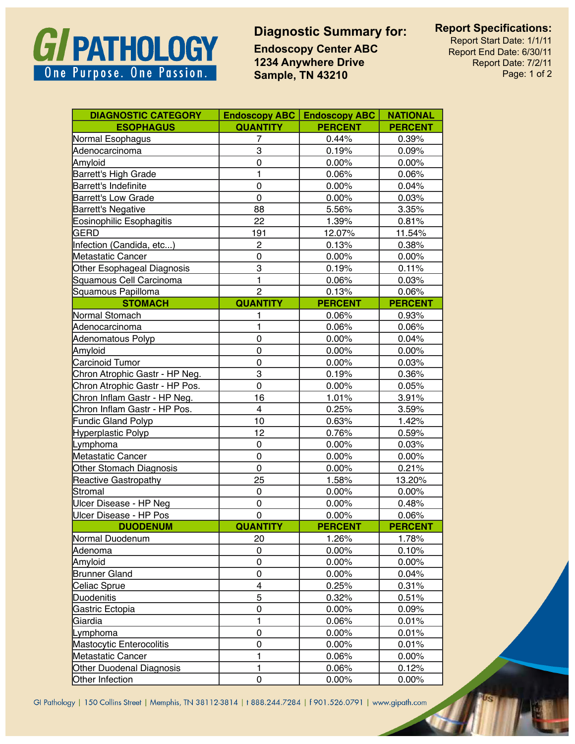## GI PATHOLOGY One Purpose. One Passion.

## **Diagnostic Summary for: Report Specifications:**

**Endoscopy Center ABC 1234 Anywhere Drive Sample, TN 43210**

Report Start Date: 1/1/11 Report End Date: 6/30/11 Report Date: 7/2/11 Page: 1 of 2

| <b>DIAGNOSTIC CATEGORY</b>      | <b>Endoscopy ABC</b> | <b>Endoscopy ABC</b> | <b>NATIONAL</b> |
|---------------------------------|----------------------|----------------------|-----------------|
| <b>ESOPHAGUS</b>                | <b>QUANTITY</b>      | <b>PERCENT</b>       | <b>PERCENT</b>  |
| Normal Esophagus                | 7                    | 0.44%                | 0.39%           |
| Adenocarcinoma                  | 3                    | 0.19%                | 0.09%           |
| Amyloid                         | 0                    | 0.00%                | 0.00%           |
| Barrett's High Grade            | 1                    | 0.06%                | 0.06%           |
| Barrett's Indefinite            | $\pmb{0}$            | 0.00%                | 0.04%           |
| <b>Barrett's Low Grade</b>      | $\mathbf 0$          | 0.00%                | 0.03%           |
| Barrett's Negative              | 88                   | 5.56%                | 3.35%           |
| Eosinophilic Esophagitis        | 22                   | 1.39%                | 0.81%           |
| <b>GERD</b>                     | 191                  | 12.07%               | 11.54%          |
| Infection (Candida, etc)        | $\overline{c}$       | 0.13%                | 0.38%           |
| <b>Metastatic Cancer</b>        | $\mathbf 0$          | 0.00%                | 0.00%           |
| Other Esophageal Diagnosis      | 3                    | 0.19%                | 0.11%           |
| Squamous Cell Carcinoma         | 1                    | 0.06%                | 0.03%           |
| Squamous Papilloma              | $\overline{2}$       | 0.13%                | 0.06%           |
| <b>STOMACH</b>                  | <b>QUANTITY</b>      | <b>PERCENT</b>       | <b>PERCENT</b>  |
| Normal Stomach                  | 1                    | 0.06%                | 0.93%           |
| Adenocarcinoma                  | 1                    | 0.06%                | 0.06%           |
| Adenomatous Polyp               | $\pmb{0}$            | 0.00%                | 0.04%           |
| Amyloid                         | $\mathbf 0$          | 0.00%                | 0.00%           |
| Carcinoid Tumor                 | 0                    | 0.00%                | 0.03%           |
| Chron Atrophic Gastr - HP Neg.  | 3                    | 0.19%                | 0.36%           |
| Chron Atrophic Gastr - HP Pos.  | $\overline{0}$       | 0.00%                | 0.05%           |
| Chron Inflam Gastr - HP Neg.    | 16                   | 1.01%                | 3.91%           |
| Chron Inflam Gastr - HP Pos.    | 4                    | 0.25%                | 3.59%           |
| Fundic Gland Polyp              | 10                   | 0.63%                | 1.42%           |
| <b>Hyperplastic Polyp</b>       | 12                   | 0.76%                | 0.59%           |
| Lymphoma                        | 0                    | $0.00\%$             | 0.03%           |
| Metastatic Cancer               | $\pmb{0}$            | 0.00%                | 0.00%           |
| Other Stomach Diagnosis         | $\mathbf 0$          | 0.00%                | 0.21%           |
| <b>Reactive Gastropathy</b>     | 25                   | 1.58%                | 13.20%          |
| Stromal                         | 0                    | 0.00%                | 0.00%           |
| Ulcer Disease - HP Neg          | $\pmb{0}$            | 0.00%                | 0.48%           |
| Ulcer Disease - HP Pos          | $\mathbf 0$          | 0.00%                | 0.06%           |
| <b>DUODENUM</b>                 | <b>QUANTITY</b>      | <b>PERCENT</b>       | <b>PERCENT</b>  |
| Normal Duodenum                 | 20                   | 1.26%                | 1.78%           |
| Adenoma                         | 0                    | 0.00%                | 0.10%           |
| Amyloid                         | 0                    | 0.00%                | 0.00%           |
| <b>Brunner Gland</b>            | 0                    | 0.00%                | 0.04%           |
| Celiac Sprue                    | 4                    | 0.25%                | 0.31%           |
| <b>Duodenitis</b>               | 5                    | 0.32%                | 0.51%           |
| Gastric Ectopia                 | 0                    | $0.00\%$             | 0.09%           |
| Giardia                         | 1                    | 0.06%                | 0.01%           |
| Lymphoma                        | 0                    | 0.00%                | 0.01%           |
| Mastocytic Enterocolitis        | 0                    | 0.00%                | 0.01%           |
| Metastatic Cancer               | 1                    | 0.06%                | 0.00%           |
| <b>Other Duodenal Diagnosis</b> | 1                    | 0.06%                | 0.12%           |
| Other Infection                 | 0                    | $0.00\%$             | 0.00%           |

GI Pathology | 150 Collins Street | Memphis, TN 38112-3814 | t 888.244.7284 | f 901.526.0791 | www.gipath.com